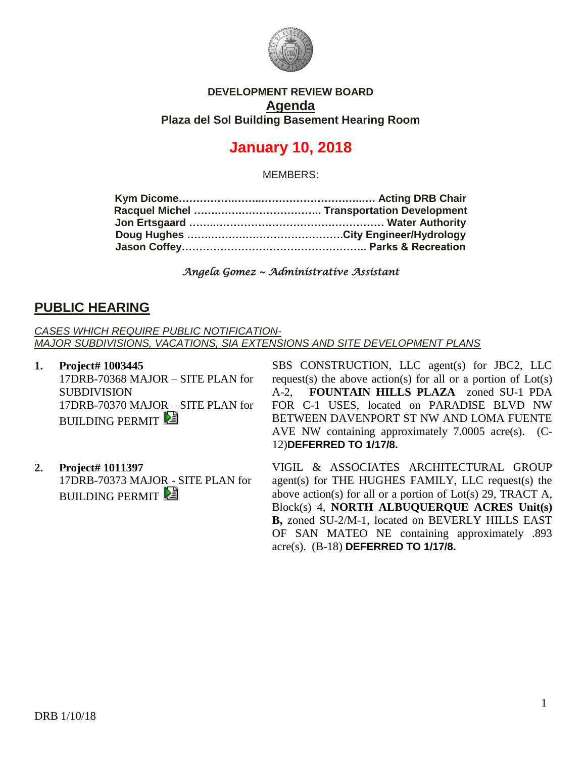

### **DEVELOPMENT REVIEW BOARD Agenda Plaza del Sol Building Basement Hearing Room**

# **January 10, 2018**

MEMBERS:

*Angela Gomez ~ Administrative Assistant* 

### **PUBLIC HEARING**

*CASES WHICH REQUIRE PUBLIC NOTIFICATION-MAJOR SUBDIVISIONS, VACATIONS, SIA EXTENSIONS AND SITE DEVELOPMENT PLANS*

- **1. Project# 1003445** 17DRB-70368 MAJOR – SITE PLAN for **SUBDIVISION** 17DRB-70370 MAJOR – SITE PLAN for **BUILDING PERMIT**
- **2. Project# 1011397** 17DRB-70373 MAJOR - SITE PLAN for **BUILDING PERMIT**

SBS CONSTRUCTION, LLC agent(s) for JBC2, LLC request(s) the above action(s) for all or a portion of  $Lot(s)$ A-2, **FOUNTAIN HILLS PLAZA** zoned SU-1 PDA FOR C-1 USES, located on PARADISE BLVD NW BETWEEN DAVENPORT ST NW AND LOMA FUENTE AVE NW containing approximately 7.0005 acre(s). (C-12)**DEFERRED TO 1/17/8.**

VIGIL & ASSOCIATES ARCHITECTURAL GROUP agent(s) for THE HUGHES FAMILY, LLC request(s) the above action(s) for all or a portion of Lot(s) 29, TRACT A, Block(s) 4, **NORTH ALBUQUERQUE ACRES Unit(s) B,** zoned SU-2/M-1, located on BEVERLY HILLS EAST OF SAN MATEO NE containing approximately .893 acre(s). (B-18) **DEFERRED TO 1/17/8.**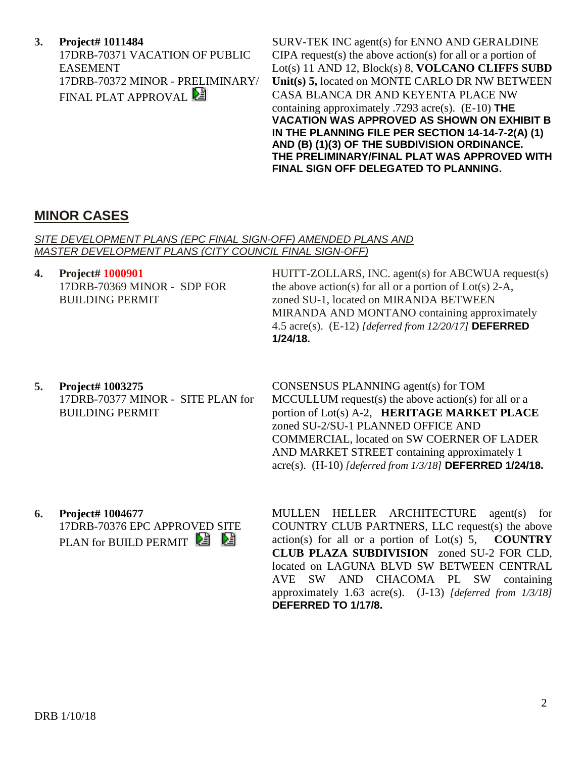**3. Project# 1011484** 17DRB-70371 VACATION OF PUBLIC EASEMENT 17DRB-70372 MINOR - PRELIMINARY/ FINAL PLAT APPROVAL

SURV-TEK INC agent(s) for ENNO AND GERALDINE CIPA request(s) the above action(s) for all or a portion of Lot(s) 11 AND 12, Block(s) 8, **VOLCANO CLIFFS SUBD Unit(s) 5,** located on MONTE CARLO DR NW BETWEEN CASA BLANCA DR AND KEYENTA PLACE NW containing approximately .7293 acre(s). (E-10) **THE VACATION WAS APPROVED AS SHOWN ON EXHIBIT B IN THE PLANNING FILE PER SECTION 14-14-7-2(A) (1) AND (B) (1)(3) OF THE SUBDIVISION ORDINANCE. THE PRELIMINARY/FINAL PLAT WAS APPROVED WITH FINAL SIGN OFF DELEGATED TO PLANNING.**

## **MINOR CASES**

### *SITE DEVELOPMENT PLANS (EPC FINAL SIGN-OFF) AMENDED PLANS AND MASTER DEVELOPMENT PLANS (CITY COUNCIL FINAL SIGN-OFF)*

**4. Project# 1000901** 17DRB-70369 MINOR - SDP FOR BUILDING PERMIT

HUITT-ZOLLARS, INC. agent(s) for ABCWUA request(s) the above action(s) for all or a portion of  $Lot(s)$  2-A, zoned SU-1, located on MIRANDA BETWEEN MIRANDA AND MONTANO containing approximately 4.5 acre(s). (E-12) *[deferred from 12/20/17]* **DEFERRED 1/24/18.**

**5. Project# 1003275** 17DRB-70377 MINOR - SITE PLAN for BUILDING PERMIT

CONSENSUS PLANNING agent(s) for TOM MCCULLUM request(s) the above action(s) for all or a portion of Lot(s) A-2, **HERITAGE MARKET PLACE** zoned SU-2/SU-1 PLANNED OFFICE AND COMMERCIAL, located on SW COERNER OF LADER AND MARKET STREET containing approximately 1 acre(s). (H-10) *[deferred from 1/3/18]* **DEFERRED 1/24/18.**

**6. Project# 1004677** 17DRB-70376 EPC APPROVED SITE PLAN for BUILD PERMIT

MULLEN HELLER ARCHITECTURE agent(s) for COUNTRY CLUB PARTNERS, LLC request(s) the above action(s) for all or a portion of Lot(s) 5, **COUNTRY CLUB PLAZA SUBDIVISION** zoned SU-2 FOR CLD, located on LAGUNA BLVD SW BETWEEN CENTRAL AVE SW AND CHACOMA PL SW containing approximately 1.63 acre(s). (J-13) *[deferred from 1/3/18]* **DEFERRED TO 1/17/8.**